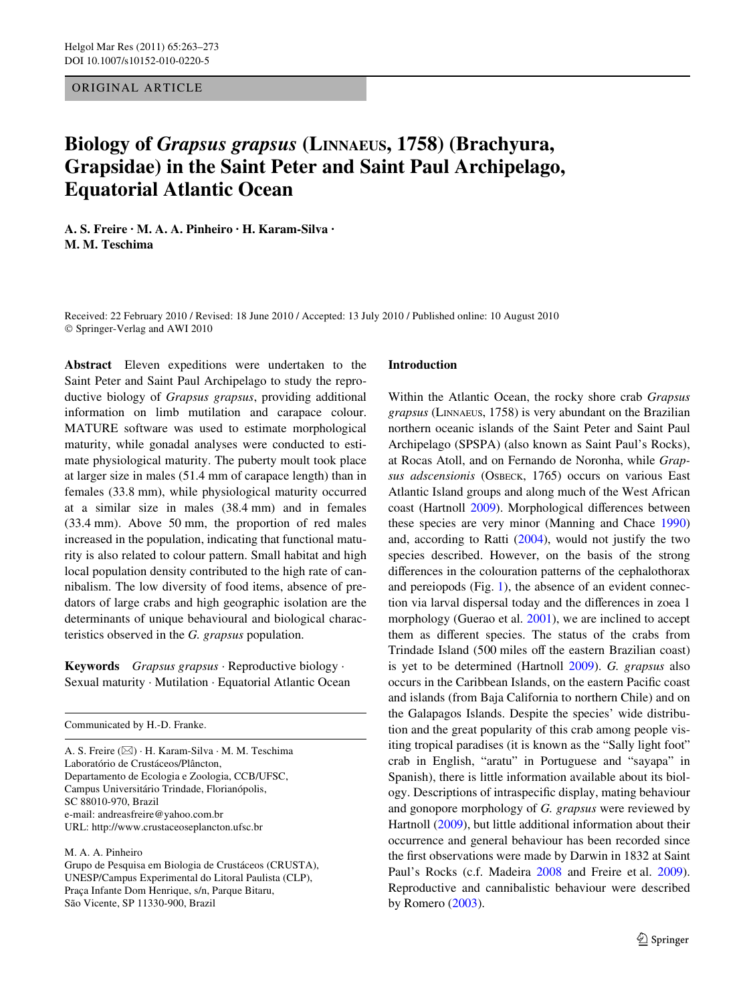ORIGINAL ARTICLE

# **Biology of** *Grapsus grapsus* **(LINNAEUS, 1758) (Brachyura, Grapsidae) in the Saint Peter and Saint Paul Archipelago, Equatorial Atlantic Ocean**

**A. S. Freire · M. A. A. Pinheiro · H. Karam-Silva · M. M. Teschima** 

Received: 22 February 2010 / Revised: 18 June 2010 / Accepted: 13 July 2010 / Published online: 10 August 2010 © Springer-Verlag and AWI 2010

**Abstract** Eleven expeditions were undertaken to the Saint Peter and Saint Paul Archipelago to study the reproductive biology of *Grapsus grapsus*, providing additional information on limb mutilation and carapace colour. MATURE software was used to estimate morphological maturity, while gonadal analyses were conducted to estimate physiological maturity. The puberty moult took place at larger size in males (51.4 mm of carapace length) than in females (33.8 mm), while physiological maturity occurred at a similar size in males (38.4 mm) and in females (33.4 mm). Above 50 mm, the proportion of red males increased in the population, indicating that functional maturity is also related to colour pattern. Small habitat and high local population density contributed to the high rate of cannibalism. The low diversity of food items, absence of predators of large crabs and high geographic isolation are the determinants of unique behavioural and biological characteristics observed in the *G. grapsus* population.

**Keywords** *Grapsus grapsus* · Reproductive biology · Sexual maturity · Mutilation · Equatorial Atlantic Ocean

Communicated by H.-D. Franke.

A. S. Freire (&) · H. Karam-Silva · M. M. Teschima Laboratório de Crustáceos/Plâncton, Departamento de Ecologia e Zoologia, CCB/UFSC, Campus Universitário Trindade, Florianópolis, SC 88010-970, Brazil e-mail: andreasfreire@yahoo.com.br URL: http://www.crustaceoseplancton.ufsc.br

## M. A. A. Pinheiro

Grupo de Pesquisa em Biologia de Crustáceos (CRUSTA), UNESP/Campus Experimental do Litoral Paulista (CLP), Praça Infante Dom Henrique, s/n, Parque Bitaru, São Vicente, SP 11330-900, Brazil

## **Introduction**

Within the Atlantic Ocean, the rocky shore crab *Grapsus grapsus* (LINNAEUS, 1758) is very abundant on the Brazilian northern oceanic islands of the Saint Peter and Saint Paul Archipelago (SPSPA) (also known as Saint Paul's Rocks), at Rocas Atoll, and on Fernando de Noronha, while *Grapsus adscensionis* (OSBECK, 1765) occurs on various East Atlantic Island groups and along much of the West African coast (Hartnoll [2009\)](#page-9-0). Morphological differences between these species are very minor (Manning and Chace [1990\)](#page-10-0) and, according to Ratti ([2004\)](#page-10-1), would not justify the two species described. However, on the basis of the strong differences in the colouration patterns of the cephalothorax and pereiopods (Fig. [1](#page-1-0)), the absence of an evident connection via larval dispersal today and the differences in zoea 1 morphology (Guerao et al. [2001](#page-9-1)), we are inclined to accept them as different species. The status of the crabs from Trindade Island (500 miles off the eastern Brazilian coast) is yet to be determined (Hartnoll [2009\)](#page-9-0). *G. grapsus* also occurs in the Caribbean Islands, on the eastern Pacific coast and islands (from Baja California to northern Chile) and on the Galapagos Islands. Despite the species' wide distribution and the great popularity of this crab among people visiting tropical paradises (it is known as the "Sally light foot" crab in English, "aratu" in Portuguese and "sayapa" in Spanish), there is little information available about its biology. Descriptions of intraspecific display, mating behaviour and gonopore morphology of *G. grapsus* were reviewed by Hartnoll [\(2009](#page-9-0)), but little additional information about their occurrence and general behaviour has been recorded since the first observations were made by Darwin in 1832 at Saint Paul's Rocks (c.f. Madeira [2008](#page-10-2) and Freire et al. [2009](#page-9-2)). Reproductive and cannibalistic behaviour were described by Romero ([2003\)](#page-10-3).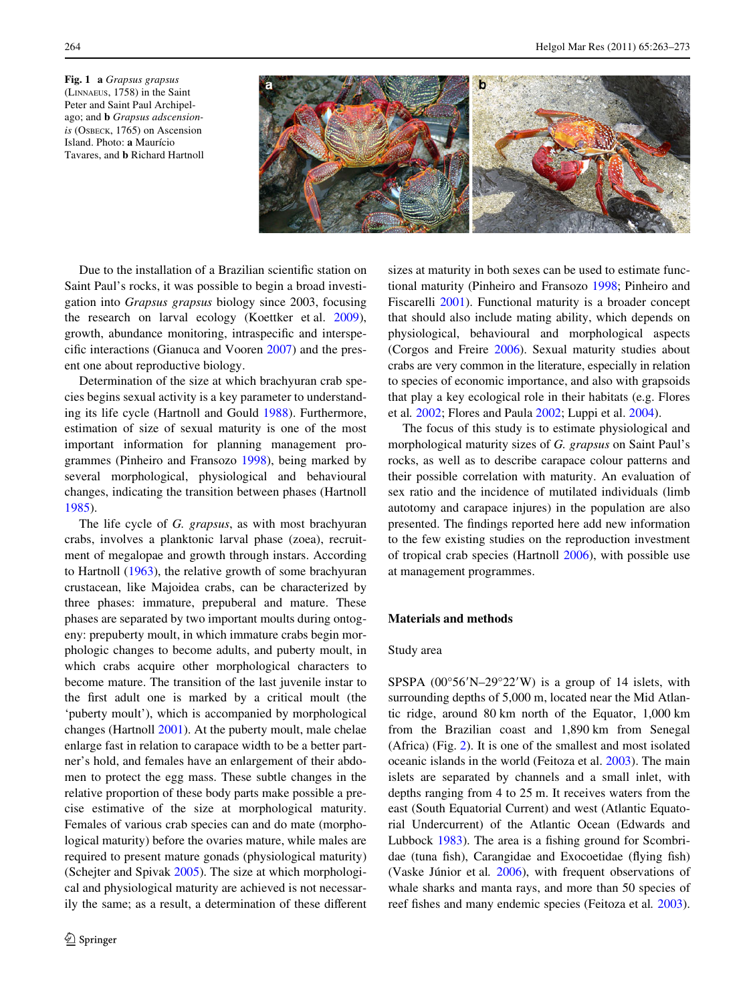<span id="page-1-0"></span>**Fig. 1 a** *Grapsus grapsus* (LINNAEUS, 1758) in the Saint Peter and Saint Paul Archipelago; and **b** *Grapsus adscensionis* (OSBECK, 1765) on Ascension Island. Photo: **a** Maurício Tavares, and **b** Richard Hartnoll



Due to the installation of a Brazilian scientific station on Saint Paul's rocks, it was possible to begin a broad investigation into *Grapsus grapsus* biology since 2003, focusing the research on larval ecology (Koettker et al. [2009](#page-9-3)), growth, abundance monitoring, intraspecific and interspecific interactions (Gianuca and Vooren  $2007$ ) and the present one about reproductive biology.

Determination of the size at which brachyuran crab species begins sexual activity is a key parameter to understanding its life cycle (Hartnoll and Gould [1988\)](#page-9-5). Furthermore, estimation of size of sexual maturity is one of the most important information for planning management programmes (Pinheiro and Fransozo [1998](#page-10-4)), being marked by several morphological, physiological and behavioural changes, indicating the transition between phases (Hartnoll [1985](#page-9-6)).

The life cycle of *G. grapsus*, as with most brachyuran crabs, involves a planktonic larval phase (zoea), recruitment of megalopae and growth through instars. According to Hartnoll [\(1963](#page-9-7)), the relative growth of some brachyuran crustacean, like Majoidea crabs, can be characterized by three phases: immature, prepuberal and mature. These phases are separated by two important moults during ontogeny: prepuberty moult, in which immature crabs begin morphologic changes to become adults, and puberty moult, in which crabs acquire other morphological characters to become mature. The transition of the last juvenile instar to the first adult one is marked by a critical moult (the 'puberty moult'), which is accompanied by morphological changes (Hartnoll [2001\)](#page-9-8). At the puberty moult, male chelae enlarge fast in relation to carapace width to be a better partner's hold, and females have an enlargement of their abdomen to protect the egg mass. These subtle changes in the relative proportion of these body parts make possible a precise estimative of the size at morphological maturity. Females of various crab species can and do mate (morphological maturity) before the ovaries mature, while males are required to present mature gonads (physiological maturity) (Schejter and Spivak [2005](#page-10-5)). The size at which morphological and physiological maturity are achieved is not necessarily the same; as a result, a determination of these different sizes at maturity in both sexes can be used to estimate functional maturity (Pinheiro and Fransozo [1998;](#page-10-4) Pinheiro and Fiscarelli [2001](#page-10-6)). Functional maturity is a broader concept that should also include mating ability, which depends on physiological, behavioural and morphological aspects (Corgos and Freire [2006\)](#page-9-9). Sexual maturity studies about crabs are very common in the literature, especially in relation to species of economic importance, and also with grapsoids that play a key ecological role in their habitats (e.g. Flores et al*.* [2002](#page-9-10); Flores and Paula [2002](#page-9-11); Luppi et al. [2004\)](#page-9-12).

The focus of this study is to estimate physiological and morphological maturity sizes of *G. grapsus* on Saint Paul's rocks, as well as to describe carapace colour patterns and their possible correlation with maturity. An evaluation of sex ratio and the incidence of mutilated individuals (limb autotomy and carapace injures) in the population are also presented. The findings reported here add new information to the few existing studies on the reproduction investment of tropical crab species (Hartnoll [2006\)](#page-9-13), with possible use at management programmes.

## **Materials and methods**

## Study area

SPSPA  $(00^{\circ}56'N-29^{\circ}22'W)$  is a group of 14 islets, with surrounding depths of 5,000 m, located near the Mid Atlantic ridge, around 80 km north of the Equator, 1,000 km from the Brazilian coast and 1,890 km from Senegal (Africa) (Fig. [2\)](#page-2-0). It is one of the smallest and most isolated oceanic islands in the world (Feitoza et al. [2003\)](#page-9-14). The main islets are separated by channels and a small inlet, with depths ranging from 4 to 25 m. It receives waters from the east (South Equatorial Current) and west (Atlantic Equatorial Undercurrent) of the Atlantic Ocean (Edwards and Lubbock  $1983$ ). The area is a fishing ground for Scombridae (tuna fish), Carangidae and Exocoetidae (flying fish) (Vaske Júnior et al*.* [2006\)](#page-10-7), with frequent observations of whale sharks and manta rays, and more than 50 species of reef fishes and many endemic species (Feitoza et al. [2003](#page-9-14)).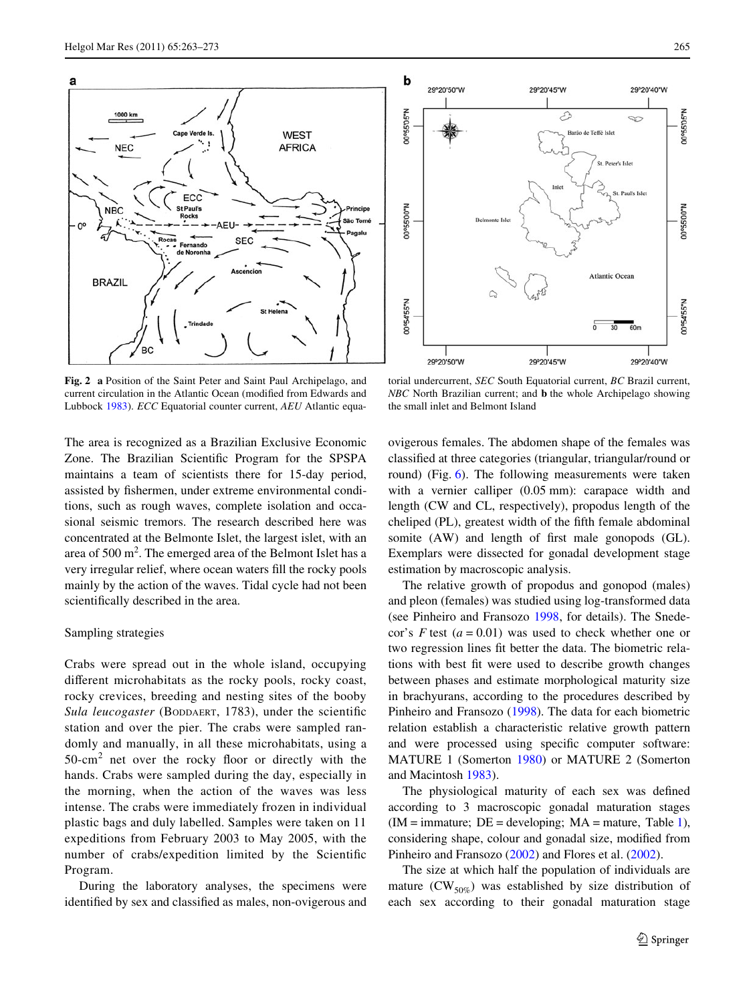

<span id="page-2-0"></span>**Fig. 2 a** Position of the Saint Peter and Saint Paul Archipelago, and current circulation in the Atlantic Ocean (modified from Edwards and Lubbock [1983\)](#page-9-15). *ECC* Equatorial counter current, *AEU* Atlantic equa-



torial undercurrent, *SEC* South Equatorial current, *BC* Brazil current, *NBC* North Brazilian current; and **b** the whole Archipelago showing the small inlet and Belmont Island

The area is recognized as a Brazilian Exclusive Economic Zone. The Brazilian Scientific Program for the SPSPA maintains a team of scientists there for 15-day period, assisted by fishermen, under extreme environmental conditions, such as rough waves, complete isolation and occasional seismic tremors. The research described here was concentrated at the Belmonte Islet, the largest islet, with an area of  $500 \text{ m}^2$ . The emerged area of the Belmont Islet has a very irregular relief, where ocean waters fill the rocky pools mainly by the action of the waves. Tidal cycle had not been scientifically described in the area.

#### Sampling strategies

Crabs were spread out in the whole island, occupying different microhabitats as the rocky pools, rocky coast, rocky crevices, breeding and nesting sites of the booby *Sula leucogaster* (BODDAERT, 1783), under the scientific station and over the pier. The crabs were sampled randomly and manually, in all these microhabitats, using a  $50$ -cm<sup>2</sup> net over the rocky floor or directly with the hands. Crabs were sampled during the day, especially in the morning, when the action of the waves was less intense. The crabs were immediately frozen in individual plastic bags and duly labelled. Samples were taken on 11 expeditions from February 2003 to May 2005, with the number of crabs/expedition limited by the Scientific Program.

During the laboratory analyses, the specimens were identified by sex and classified as males, non-ovigerous and ovigerous females. The abdomen shape of the females was classified at three categories (triangular, triangular/round or round) (Fig. [6\)](#page-5-0). The following measurements were taken with a vernier calliper (0.05 mm): carapace width and length (CW and CL, respectively), propodus length of the cheliped (PL), greatest width of the fifth female abdominal somite (AW) and length of first male gonopods (GL). Exemplars were dissected for gonadal development stage estimation by macroscopic analysis.

The relative growth of propodus and gonopod (males) and pleon (females) was studied using log-transformed data (see Pinheiro and Fransozo [1998](#page-10-4), for details). The Snedecor's  $F$  test ( $a = 0.01$ ) was used to check whether one or two regression lines fit better the data. The biometric relations with best fit were used to describe growth changes between phases and estimate morphological maturity size in brachyurans, according to the procedures described by Pinheiro and Fransozo [\(1998](#page-10-4)). The data for each biometric relation establish a characteristic relative growth pattern and were processed using specific computer software: MATURE 1 (Somerton [1980](#page-10-8)) or MATURE 2 (Somerton and Macintosh [1983\)](#page-10-9).

The physiological maturity of each sex was defined according to 3 macroscopic gonadal maturation stages  $(IM = \text{immature}; DE = \text{developing}; MA = \text{mature}, \text{Table 1}),$ considering shape, colour and gonadal size, modified from Pinheiro and Fransozo ([2002\)](#page-10-10) and Flores et al. [\(2002](#page-9-10)).

The size at which half the population of individuals are mature  $(CW_{50\%})$  was established by size distribution of each sex according to their gonadal maturation stage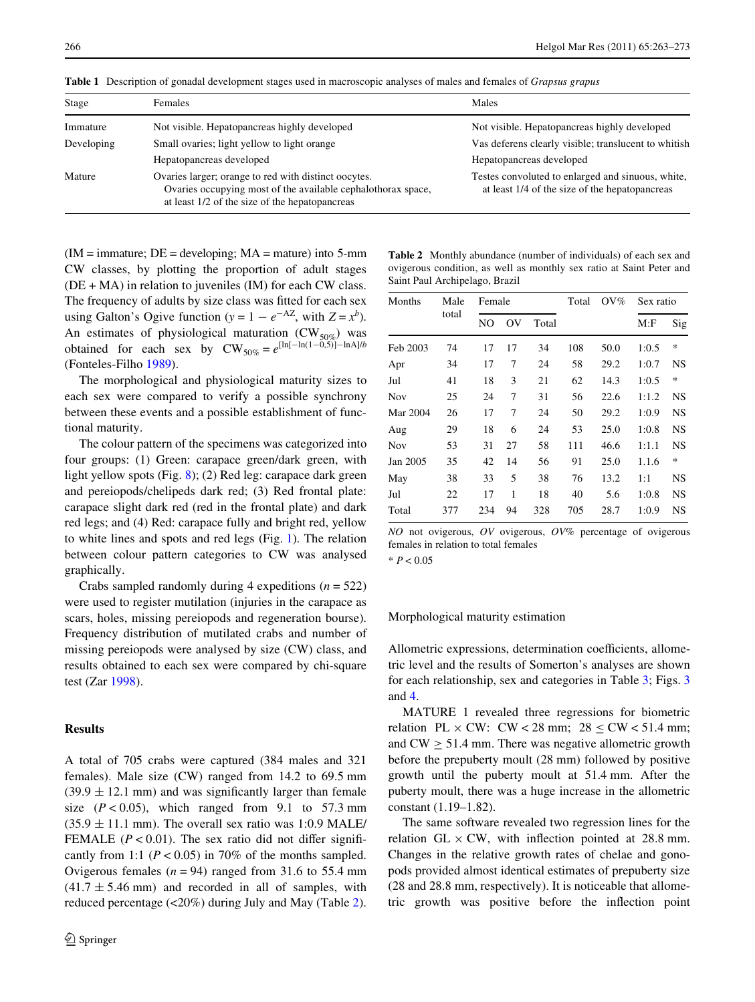| Stage      | <b>Females</b>                                                                                                                                                         | Males                                                                                               |
|------------|------------------------------------------------------------------------------------------------------------------------------------------------------------------------|-----------------------------------------------------------------------------------------------------|
| Immature   | Not visible. Hepatopancreas highly developed                                                                                                                           | Not visible. Hepatopancreas highly developed                                                        |
| Developing | Small ovaries; light yellow to light orange                                                                                                                            | Vas deferens clearly visible; translucent to whitish                                                |
|            | Hepatopancreas developed                                                                                                                                               | Hepatopancreas developed                                                                            |
| Mature     | Ovaries larger; orange to red with distinct oocytes.<br>Ovaries occupying most of the available cephalothorax space,<br>at least 1/2 of the size of the hepatopancreas | Testes convoluted to enlarged and sinuous, white,<br>at least 1/4 of the size of the hepatopancreas |

<span id="page-3-0"></span>**Table 1** Description of gonadal development stages used in macroscopic analyses of males and females of *Grapsus grapus*

 $(IM = \text{immature}; DE = \text{developing}; MA = \text{mature})$  into 5-mm CW classes, by plotting the proportion of adult stages  $(DE + MA)$  in relation to juveniles  $(IM)$  for each CW class. The frequency of adults by size class was fitted for each sex using Galton's Ogive function ( $y = 1 - e^{-AZ}$ , with  $Z = x^b$ ). An estimates of physiological maturation  $(CW_{50\%})$  was obtained for each sex by  $CW_{50\%} = e^{\left[\ln[-\ln(1-\tilde{0},5)] - \ln(A)\right/b}$ (Fonteles-Filho [1989](#page-9-16)).

The morphological and physiological maturity sizes to each sex were compared to verify a possible synchrony between these events and a possible establishment of functional maturity.

The colour pattern of the specimens was categorized into four groups: (1) Green: carapace green/dark green, with light yellow spots (Fig. [8\)](#page-6-0); (2) Red leg: carapace dark green and pereiopods/chelipeds dark red; (3) Red frontal plate: carapace slight dark red (red in the frontal plate) and dark red legs; and (4) Red: carapace fully and bright red, yellow to white lines and spots and red legs (Fig. [1\)](#page-1-0). The relation between colour pattern categories to CW was analysed graphically.

Crabs sampled randomly during 4 expeditions (*n* = 522) were used to register mutilation (injuries in the carapace as scars, holes, missing pereiopods and regeneration bourse). Frequency distribution of mutilated crabs and number of missing pereiopods were analysed by size (CW) class, and results obtained to each sex were compared by chi-square test (Zar [1998](#page-10-11)).

# **Results**

A total of 705 crabs were captured (384 males and 321 females). Male size (CW) ranged from 14.2 to 69.5 mm  $(39.9 \pm 12.1 \text{ mm})$  and was significantly larger than female size  $(P < 0.05)$ , which ranged from 9.1 to 57.3 mm  $(35.9 \pm 11.1 \text{ mm})$ . The overall sex ratio was 1:0.9 MALE/ FEMALE ( $P < 0.01$ ). The sex ratio did not differ significantly from 1:1 ( $P < 0.05$ ) in 70% of the months sampled. Ovigerous females  $(n = 94)$  ranged from 31.6 to 55.4 mm  $(41.7 \pm 5.46 \text{ mm})$  and recorded in all of samples, with reduced percentage (<20%) during July and May (Table [2](#page-3-1)).

<span id="page-3-1"></span>

| <b>Table 2</b> Monthly abundance (number of individuals) of each sex and |  |
|--------------------------------------------------------------------------|--|
| ovigerous condition, as well as monthly sex ratio at Saint Peter and     |  |
| Saint Paul Archipelago, Brazil                                           |  |

| Months   | Male<br>total | Female |                |       | Total | $OV\%$ | Sex ratio |           |
|----------|---------------|--------|----------------|-------|-------|--------|-----------|-----------|
|          |               | NO     | O <sub>V</sub> | Total |       |        | M:F       | Sig       |
| Feb 2003 | 74            | 17     | 17             | 34    | 108   | 50.0   | 1:0.5     | *         |
| Apr      | 34            | 17     | 7              | 24    | 58    | 29.2   | 1:0.7     | <b>NS</b> |
| Jul      | 41            | 18     | 3              | 21    | 62    | 14.3   | 1:0.5     | *         |
| Nov      | 25            | 24     | 7              | 31    | 56    | 22.6   | 1:1.2     | NS        |
| Mar 2004 | 26            | 17     | 7              | 24    | 50    | 29.2   | 1:0.9     | NS        |
| Aug      | 29            | 18     | 6              | 24    | 53    | 25.0   | 1:0.8     | <b>NS</b> |
| Nov      | 53            | 31     | 27             | 58    | 111   | 46.6   | 1:1.1     | NS        |
| Jan 2005 | 35            | 42     | 14             | 56    | 91    | 25.0   | 1.1.6     | $\ast$    |
| May      | 38            | 33     | 5              | 38    | 76    | 13.2   | 1:1       | NS        |
| Jul      | 22            | 17     | 1              | 18    | 40    | 5.6    | 1:0.8     | <b>NS</b> |
| Total    | 377           | 234    | 94             | 328   | 705   | 28.7   | 1:0.9     | <b>NS</b> |
|          |               |        |                |       |       |        |           |           |

*NO* not ovigerous, *OV* ovigerous, *OV%* percentage of ovigerous females in relation to total females

\* *P* < 0.05

#### Morphological maturity estimation

Allometric expressions, determination coefficients, allometric level and the results of Somerton's analyses are shown for each relationship, sex and categories in Table [3;](#page-4-0) Figs. [3](#page-4-1) and [4](#page-4-2).

MATURE 1 revealed three regressions for biometric relation PL  $\times$  CW: CW < 28 mm; 28 < CW < 51.4 mm; and  $CW > 51.4$  mm. There was negative allometric growth before the prepuberty moult (28 mm) followed by positive growth until the puberty moult at 51.4 mm. After the puberty moult, there was a huge increase in the allometric constant (1.19–1.82).

The same software revealed two regression lines for the relation GL  $\times$  CW, with inflection pointed at 28.8 mm. Changes in the relative growth rates of chelae and gonopods provided almost identical estimates of prepuberty size (28 and 28.8 mm, respectively). It is noticeable that allometric growth was positive before the inflection point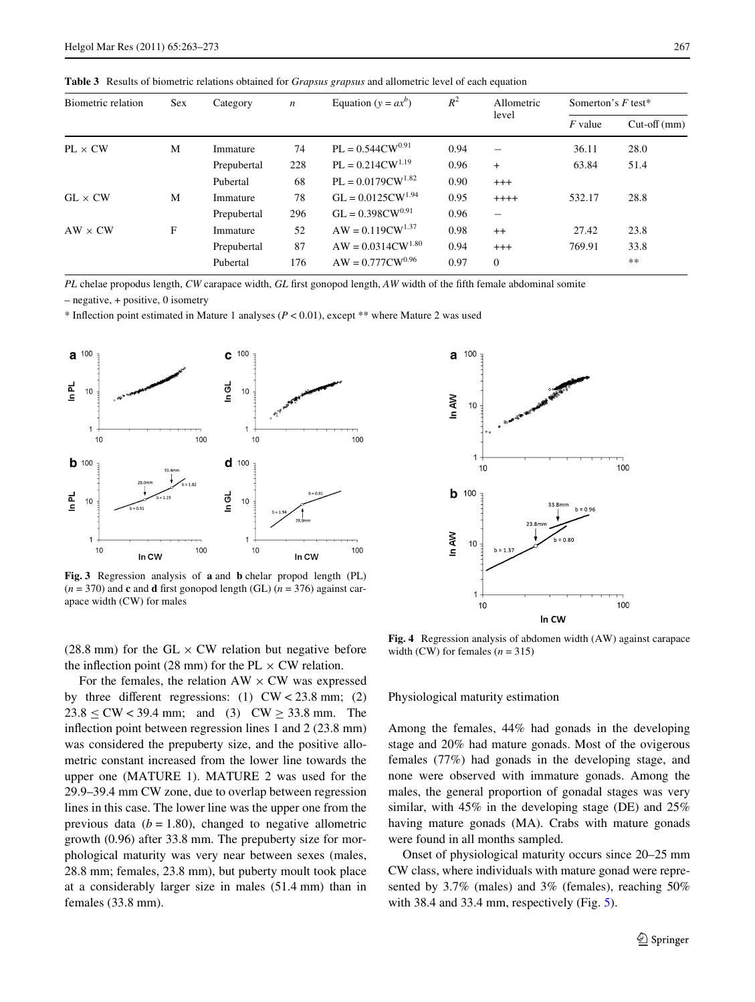<span id="page-4-0"></span>**Table 3** Results of biometric relations obtained for *Grapsus grapsus* and allometric level of each equation

| Biometric relation | Sex | Category    | $\boldsymbol{n}$ | Equation ( $y = ax^b$ ) | $R^2$<br>Allometric<br>level |                          | Somerton's $F$ test* |               |
|--------------------|-----|-------------|------------------|-------------------------|------------------------------|--------------------------|----------------------|---------------|
|                    |     |             |                  |                         |                              |                          | $F$ value            | $Cut-off(mm)$ |
| $PL \times CW$     | M   | Immature    | 74               | $PL = 0.544CW^{0.91}$   | 0.94                         | $\overline{\phantom{0}}$ | 36.11                | 28.0          |
|                    |     | Prepubertal | 228              | $PL = 0.214CW^{1.19}$   | 0.96                         | $+$                      | 63.84                | 51.4          |
|                    |     | Pubertal    | 68               | $PL = 0.0179CW^{1.82}$  | 0.90                         | $^{+++}$                 |                      |               |
| $GL \times CW$     | M   | Immature    | 78               | $GL = 0.0125 CW^{1.94}$ | 0.95                         | $++++$                   | 532.17               | 28.8          |
|                    |     | Prepubertal | 296              | $GL = 0.398CW^{0.91}$   | 0.96                         | $\overline{\phantom{0}}$ |                      |               |
| $AW \times CW$     | F   | Immature    | 52               | $AW = 0.119CW^{1.37}$   | 0.98                         | $++$                     | 27.42                | 23.8          |
|                    |     | Prepubertal | 87               | $AW = 0.0314CW^{1.80}$  | 0.94                         | $^{+++}$                 | 769.91               | 33.8          |
|                    |     | Pubertal    | 176              | $AW = 0.777 CW^{0.96}$  | 0.97                         | $\Omega$                 |                      | $***$         |

*PL* chelae propodus length, *CW* carapace width, *GL* first gonopod length, *AW* width of the fifth female abdominal somite

– negative, + positive, 0 isometry

\* Inflection point estimated in Mature 1 analyses  $(P < 0.01)$ , except \*\* where Mature 2 was used



<span id="page-4-1"></span>**Fig. 3** Regression analysis of **a** and **b** chelar propod length (PL)  $(n = 370)$  and **c** and **d** first gonopod length (GL)  $(n = 376)$  against carapace width (CW) for males

(28.8 mm) for the GL  $\times$  CW relation but negative before the inflection point (28 mm) for the PL  $\times$  CW relation.

For the females, the relation  $AW \times CW$  was expressed by three different regressions: (1)  $CW < 23.8$  mm; (2)  $23.8 < CW < 39.4$  mm; and (3)  $CW > 33.8$  mm. The inflection point between regression lines 1 and  $2$  (23.8 mm) was considered the prepuberty size, and the positive allometric constant increased from the lower line towards the upper one (MATURE 1). MATURE 2 was used for the 29.9–39.4 mm CW zone, due to overlap between regression lines in this case. The lower line was the upper one from the previous data  $(b = 1.80)$ , changed to negative allometric growth (0.96) after 33.8 mm. The prepuberty size for morphological maturity was very near between sexes (males, 28.8 mm; females, 23.8 mm), but puberty moult took place at a considerably larger size in males (51.4 mm) than in females (33.8 mm).



<span id="page-4-2"></span>**Fig. 4** Regression analysis of abdomen width (AW) against carapace width (CW) for females  $(n = 315)$ 

Physiological maturity estimation

Among the females, 44% had gonads in the developing stage and 20% had mature gonads. Most of the ovigerous females (77%) had gonads in the developing stage, and none were observed with immature gonads. Among the males, the general proportion of gonadal stages was very similar, with 45% in the developing stage (DE) and 25% having mature gonads (MA). Crabs with mature gonads were found in all months sampled.

Onset of physiological maturity occurs since 20–25 mm CW class, where individuals with mature gonad were represented by 3.7% (males) and 3% (females), reaching 50% with 38.4 and 33.4 mm, respectively (Fig. [5](#page-5-1)).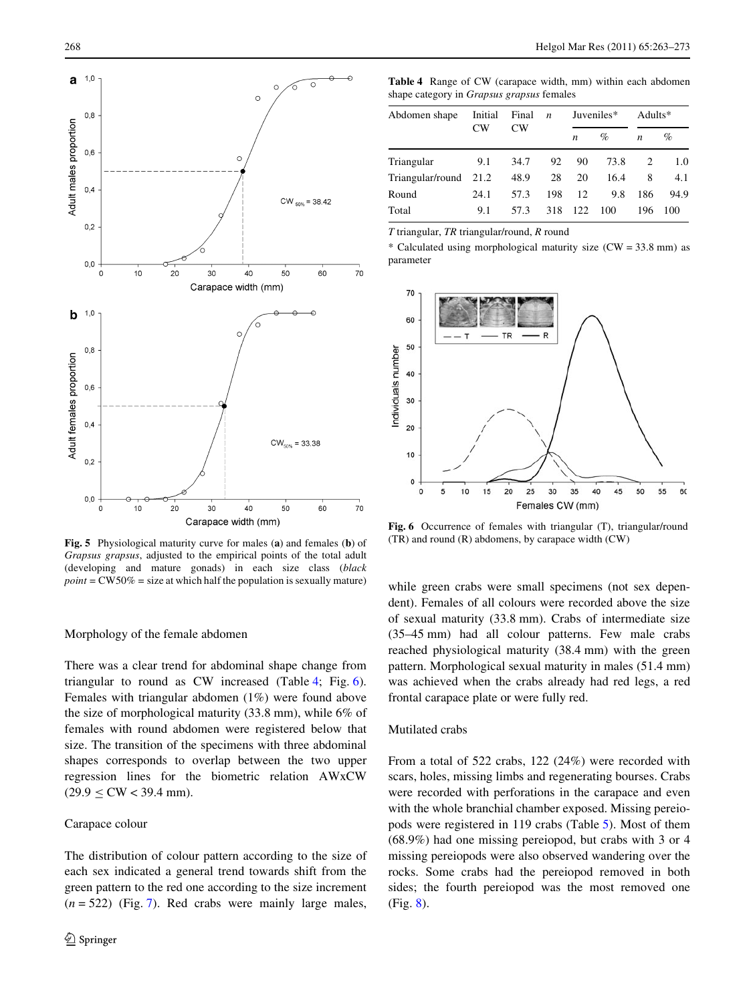

<span id="page-5-1"></span>**Fig. 5** Physiological maturity curve for males (**a**) and females (**b**) of *Grapsus grapsus*, adjusted to the empirical points of the total adult (developing and mature gonads) in each size class (*black*  $point = CW50\% = size$  at which half the population is sexually mature)

## Morphology of the female abdomen

There was a clear trend for abdominal shape change from triangular to round as CW increased (Table [4](#page-5-2); Fig. [6](#page-5-0)). Females with triangular abdomen (1%) were found above the size of morphological maturity (33.8 mm), while 6% of females with round abdomen were registered below that size. The transition of the specimens with three abdominal shapes corresponds to overlap between the two upper regression lines for the biometric relation AWxCW  $(29.9 \leq$  CW < 39.4 mm).

#### Carapace colour

The distribution of colour pattern according to the size of each sex indicated a general trend towards shift from the green pattern to the red one according to the size increment  $(n = 522)$  (Fig. [7](#page-6-1)). Red crabs were mainly large males,

<span id="page-5-2"></span>**Table 4** Range of CW (carapace width, mm) within each abdomen shape category in *Grapsus grapsus* females

| Abdomen shape    | Initial<br>CW <sub></sub> | Final<br>CW <sub></sub> | $\boldsymbol{n}$ | Juveniles*       |      | Adults*          |      |
|------------------|---------------------------|-------------------------|------------------|------------------|------|------------------|------|
|                  |                           |                         |                  | $\boldsymbol{n}$ | $\%$ | $\boldsymbol{n}$ | %    |
| Triangular       | 9.1                       | 34.7                    | 92               | 90               | 73.8 |                  | 1.0  |
| Triangular/round | 21.2                      | 48.9                    | 28               | 20               | 16.4 | 8                | 4.1  |
| Round            | 24.1                      | 57.3                    | 198              | 12               | 9.8  | 186              | 94.9 |
| Total            | 9.1                       | 57.3                    | 318              | 122              | 100  | 196              | 100  |

*T* triangular, *TR* triangular/round, *R* round

\* Calculated using morphological maturity size  $(CW = 33.8 \text{ mm})$  as parameter



<span id="page-5-0"></span>Fig. 6 Occurrence of females with triangular (T), triangular/round (TR) and round (R) abdomens, by carapace width (CW)

while green crabs were small specimens (not sex dependent). Females of all colours were recorded above the size of sexual maturity (33.8 mm). Crabs of intermediate size (35–45 mm) had all colour patterns. Few male crabs reached physiological maturity (38.4 mm) with the green pattern. Morphological sexual maturity in males (51.4 mm) was achieved when the crabs already had red legs, a red frontal carapace plate or were fully red.

## Mutilated crabs

From a total of 522 crabs, 122 (24%) were recorded with scars, holes, missing limbs and regenerating bourses. Crabs were recorded with perforations in the carapace and even with the whole branchial chamber exposed. Missing pereiopods were registered in 119 crabs (Table [5](#page-6-2)). Most of them (68.9%) had one missing pereiopod, but crabs with 3 or 4 missing pereiopods were also observed wandering over the rocks. Some crabs had the pereiopod removed in both sides; the fourth pereiopod was the most removed one (Fig. [8\)](#page-6-0).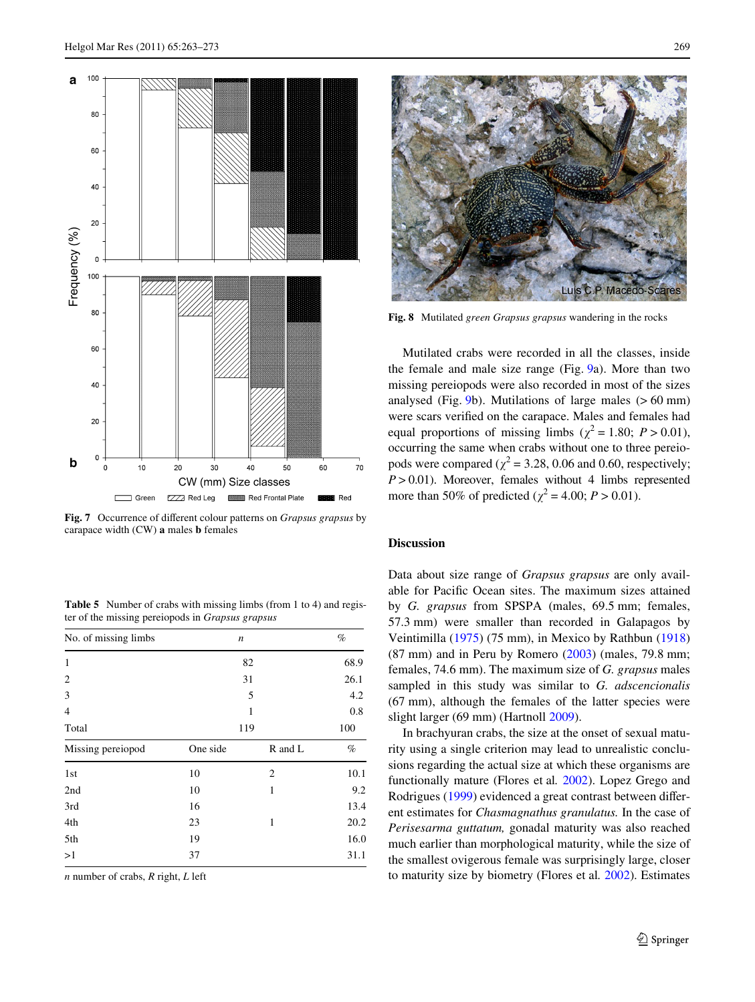

<span id="page-6-1"></span>Fig. 7 Occurrence of different colour patterns on *Grapsus grapsus* by carapace width (CW) **a** males **b** females

<span id="page-6-2"></span>**Table 5** Number of crabs with missing limbs (from 1 to 4) and register of the missing pereiopods in *Grapsus grapsus*

| No. of missing limbs |          | n       | $\%$ |
|----------------------|----------|---------|------|
| 1                    |          | 68.9    |      |
| 2                    |          | 26.1    |      |
| 3                    |          | 4.2     |      |
| 4                    |          | 0.8     |      |
| Total                | 119      | 100     |      |
| Missing pereiopod    | One side | R and L | $\%$ |
| 1 <sub>st</sub>      | 10       | 2       | 10.1 |
| 2nd                  | 10       | 1       | 9.2  |
| 3rd                  | 16       |         | 13.4 |
| 4th                  | 23       | 1       | 20.2 |
| 5th                  | 19       |         | 16.0 |
| >1                   | 37       |         | 31.1 |

*n* number of crabs, *R* right, *L* left



Luís C.P. Macedo

<span id="page-6-0"></span>**Fig. 8** Mutilated *green Grapsus grapsus* wandering in the rocks

Mutilated crabs were recorded in all the classes, inside the female and male size range (Fig. [9a](#page-7-0)). More than two missing pereiopods were also recorded in most of the sizes analysed (Fig.  $9b$ ). Mutilations of large males ( $> 60$  mm) were scars verified on the carapace. Males and females had equal proportions of missing limbs ( $\chi^2 = 1.80$ ;  $P > 0.01$ ), occurring the same when crabs without one to three pereiopods were compared ( $\chi^2$  = 3.28, 0.06 and 0.60, respectively;  $P > 0.01$ ). Moreover, females without 4 limbs represented more than 50% of predicted ( $\chi^2$  = 4.00; *P* > 0.01).

#### **Discussion**

Data about size range of *Grapsus grapsus* are only available for Pacific Ocean sites. The maximum sizes attained by *G. grapsus* from SPSPA (males, 69.5 mm; females, 57.3 mm) were smaller than recorded in Galapagos by Veintimilla ([1975\)](#page-10-12) (75 mm), in Mexico by Rathbun ([1918\)](#page-10-13)  $(87 \text{ mm})$  and in Peru by Romero  $(2003)$  $(2003)$  (males, 79.8 mm; females, 74.6 mm). The maximum size of *G. grapsus* males sampled in this study was similar to *G. adscencionalis* (67 mm), although the females of the latter species were slight larger (69 mm) (Hartnoll [2009\)](#page-9-0).

In brachyuran crabs, the size at the onset of sexual maturity using a single criterion may lead to unrealistic conclusions regarding the actual size at which these organisms are functionally mature (Flores et al*.* [2002\)](#page-9-10). Lopez Grego and Rodrigues ([1999\)](#page-9-17) evidenced a great contrast between different estimates for *Chasmagnathus granulatus.* In the case of *Perisesarma guttatum,* gonadal maturity was also reached much earlier than morphological maturity, while the size of the smallest ovigerous female was surprisingly large, closer to maturity size by biometry (Flores et al*.* [2002\)](#page-9-10). Estimates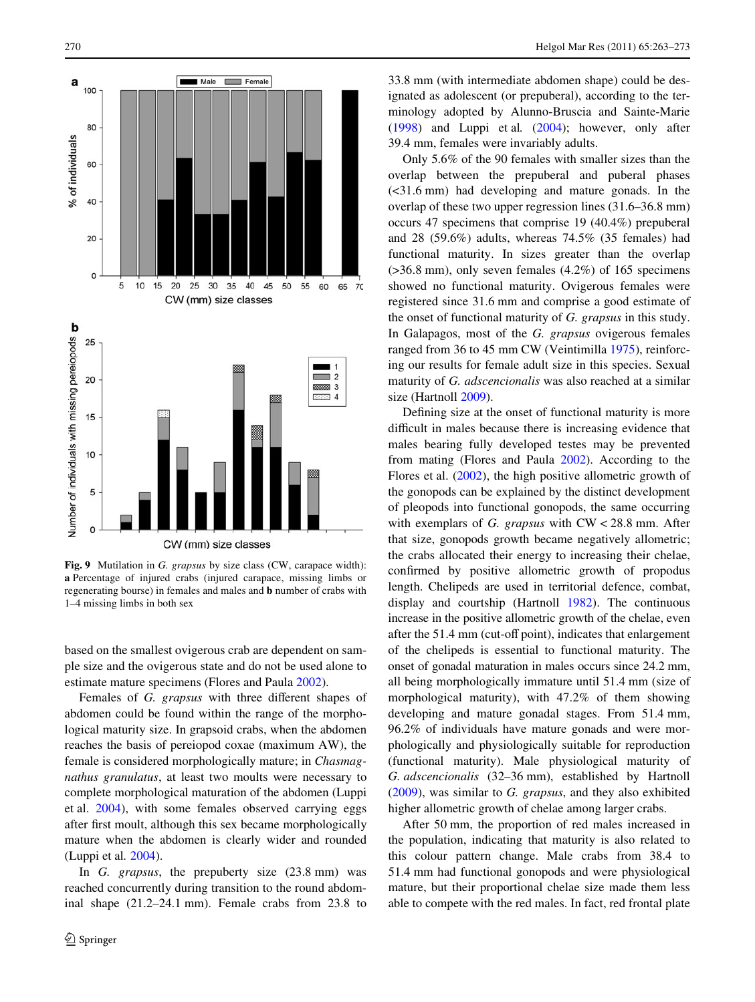

<span id="page-7-0"></span>**Fig. 9** Mutilation in *G. grapsus* by size class (CW, carapace width): **a** Percentage of injured crabs (injured carapace, missing limbs or regenerating bourse) in females and males and **b** number of crabs with 1–4 missing limbs in both sex

based on the smallest ovigerous crab are dependent on sample size and the ovigerous state and do not be used alone to estimate mature specimens (Flores and Paula [2002\)](#page-9-11).

Females of *G. grapsus* with three different shapes of abdomen could be found within the range of the morphological maturity size. In grapsoid crabs, when the abdomen reaches the basis of pereiopod coxae (maximum AW), the female is considered morphologically mature; in *Chasmagnathus granulatus*, at least two moults were necessary to complete morphological maturation of the abdomen (Luppi et al. [2004\)](#page-9-12), with some females observed carrying eggs after first moult, although this sex became morphologically mature when the abdomen is clearly wider and rounded (Luppi et al*.* [2004\)](#page-9-12).

In *G. grapsus*, the prepuberty size (23.8 mm) was reached concurrently during transition to the round abdominal shape (21.2–24.1 mm). Female crabs from 23.8 to

33.8 mm (with intermediate abdomen shape) could be designated as adolescent (or prepuberal), according to the terminology adopted by Alunno-Bruscia and Sainte-Marie [\(1998\)](#page-9-18) and Luppi et al*.* [\(2004](#page-9-12)); however, only after 39.4 mm, females were invariably adults.

Only 5.6% of the 90 females with smaller sizes than the overlap between the prepuberal and puberal phases (<31.6 mm) had developing and mature gonads. In the overlap of these two upper regression lines (31.6–36.8 mm) occurs 47 specimens that comprise 19 (40.4%) prepuberal and 28 (59.6%) adults, whereas 74.5% (35 females) had functional maturity. In sizes greater than the overlap  $(>36.8$  mm), only seven females  $(4.2\%)$  of 165 specimens showed no functional maturity. Ovigerous females were registered since 31.6 mm and comprise a good estimate of the onset of functional maturity of *G. grapsus* in this study. In Galapagos, most of the *G. grapsus* ovigerous females ranged from 36 to 45 mm CW (Veintimilla [1975\)](#page-10-12), reinforcing our results for female adult size in this species. Sexual maturity of *G. adscencionalis* was also reached at a similar size (Hartnoll [2009](#page-9-0)).

Defining size at the onset of functional maturity is more difficult in males because there is increasing evidence that males bearing fully developed testes may be prevented from mating (Flores and Paula [2002\)](#page-9-11). According to the Flores et al. [\(2002](#page-9-10)), the high positive allometric growth of the gonopods can be explained by the distinct development of pleopods into functional gonopods, the same occurring with exemplars of *G. grapsus* with CW < 28.8 mm. After that size, gonopods growth became negatively allometric; the crabs allocated their energy to increasing their chelae, confirmed by positive allometric growth of propodus length. Chelipeds are used in territorial defence, combat, display and courtship (Hartnoll [1982](#page-9-19)). The continuous increase in the positive allometric growth of the chelae, even after the 51.4 mm (cut-off point), indicates that enlargement of the chelipeds is essential to functional maturity. The onset of gonadal maturation in males occurs since 24.2 mm, all being morphologically immature until 51.4 mm (size of morphological maturity), with 47.2% of them showing developing and mature gonadal stages. From 51.4 mm, 96.2% of individuals have mature gonads and were morphologically and physiologically suitable for reproduction (functional maturity). Male physiological maturity of *G. adscencionalis* (32–36 mm), established by Hartnoll [\(2009\)](#page-9-0), was similar to *G. grapsus*, and they also exhibited higher allometric growth of chelae among larger crabs.

After 50 mm, the proportion of red males increased in the population, indicating that maturity is also related to this colour pattern change. Male crabs from 38.4 to 51.4 mm had functional gonopods and were physiological mature, but their proportional chelae size made them less able to compete with the red males. In fact, red frontal plate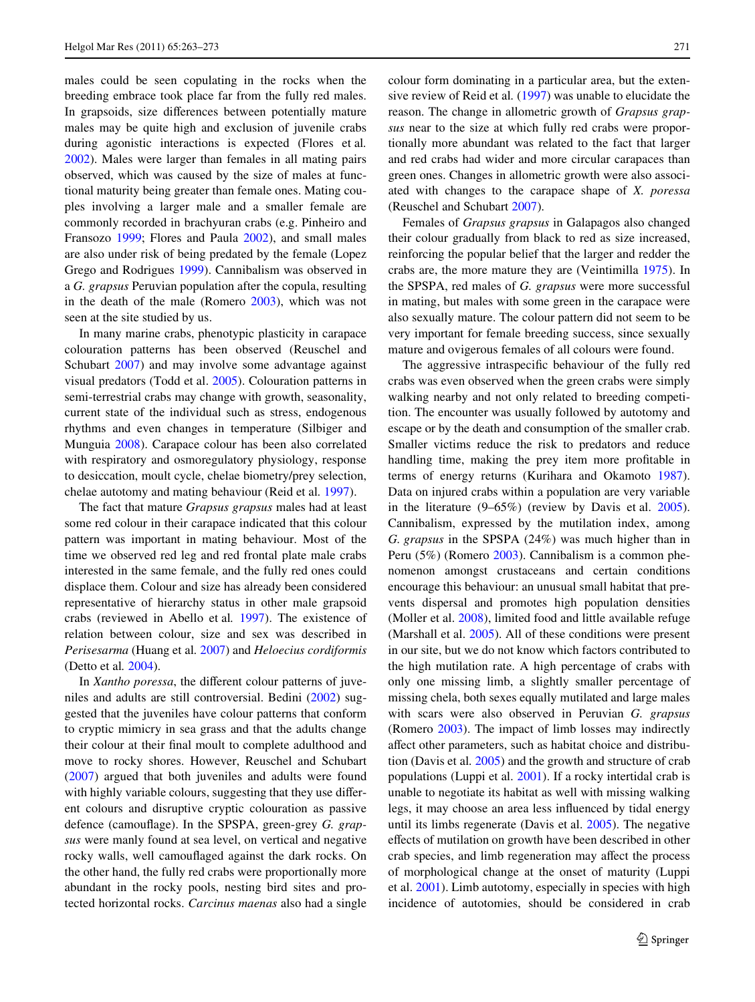males could be seen copulating in the rocks when the breeding embrace took place far from the fully red males. In grapsoids, size differences between potentially mature males may be quite high and exclusion of juvenile crabs during agonistic interactions is expected (Flores et al*.* [2002](#page-9-10)). Males were larger than females in all mating pairs observed, which was caused by the size of males at functional maturity being greater than female ones. Mating couples involving a larger male and a smaller female are commonly recorded in brachyuran crabs (e.g. Pinheiro and Fransozo [1999;](#page-10-14) Flores and Paula [2002\)](#page-9-11), and small males are also under risk of being predated by the female (Lopez Grego and Rodrigues [1999\)](#page-9-17). Cannibalism was observed in a *G. grapsus* Peruvian population after the copula, resulting in the death of the male (Romero [2003\)](#page-10-3), which was not seen at the site studied by us.

In many marine crabs, phenotypic plasticity in carapace colouration patterns has been observed (Reuschel and Schubart [2007\)](#page-10-15) and may involve some advantage against visual predators (Todd et al. [2005](#page-10-16)). Colouration patterns in semi-terrestrial crabs may change with growth, seasonality, current state of the individual such as stress, endogenous rhythms and even changes in temperature (Silbiger and Munguia [2008\)](#page-10-17). Carapace colour has been also correlated with respiratory and osmoregulatory physiology, response to desiccation, moult cycle, chelae biometry/prey selection, chelae autotomy and mating behaviour (Reid et al*.* [1997\)](#page-10-18).

The fact that mature *Grapsus grapsus* males had at least some red colour in their carapace indicated that this colour pattern was important in mating behaviour. Most of the time we observed red leg and red frontal plate male crabs interested in the same female, and the fully red ones could displace them. Colour and size has already been considered representative of hierarchy status in other male grapsoid crabs (reviewed in Abello et al*.* [1997\)](#page-9-20). The existence of relation between colour, size and sex was described in *Perisesarma* (Huang et al*.* [2007\)](#page-9-21) and *Heloecius cordiformis* (Detto et al*.* [2004\)](#page-9-22).

In *Xantho poressa*, the different colour patterns of juveniles and adults are still controversial. Bedini [\(2002](#page-9-23)) suggested that the juveniles have colour patterns that conform to cryptic mimicry in sea grass and that the adults change their colour at their final moult to complete adulthood and move to rocky shores. However, Reuschel and Schubart [\(2007](#page-10-15)) argued that both juveniles and adults were found with highly variable colours, suggesting that they use different colours and disruptive cryptic colouration as passive defence (camouflage). In the SPSPA, green-grey *G. grapsus* were manly found at sea level, on vertical and negative rocky walls, well camouflaged against the dark rocks. On the other hand, the fully red crabs were proportionally more abundant in the rocky pools, nesting bird sites and protected horizontal rocks. *Carcinus maenas* also had a single

colour form dominating in a particular area, but the extensive review of Reid et al*.* ([1997](#page-10-18)) was unable to elucidate the reason. The change in allometric growth of *Grapsus grapsus* near to the size at which fully red crabs were proportionally more abundant was related to the fact that larger and red crabs had wider and more circular carapaces than green ones. Changes in allometric growth were also associated with changes to the carapace shape of *X. poressa* (Reuschel and Schubart [2007\)](#page-10-15).

Females of *Grapsus grapsus* in Galapagos also changed their colour gradually from black to red as size increased, reinforcing the popular belief that the larger and redder the crabs are, the more mature they are (Veintimilla [1975\)](#page-10-12). In the SPSPA, red males of *G. grapsus* were more successful in mating, but males with some green in the carapace were also sexually mature. The colour pattern did not seem to be very important for female breeding success, since sexually mature and ovigerous females of all colours were found.

The aggressive intraspecific behaviour of the fully red crabs was even observed when the green crabs were simply walking nearby and not only related to breeding competition. The encounter was usually followed by autotomy and escape or by the death and consumption of the smaller crab. Smaller victims reduce the risk to predators and reduce handling time, making the prey item more profitable in terms of energy returns (Kurihara and Okamoto [1987](#page-9-24)). Data on injured crabs within a population are very variable in the literature (9–65%) (review by Davis et al. [2005](#page-9-25)). Cannibalism, expressed by the mutilation index, among *G. grapsus* in the SPSPA (24%) was much higher than in Peru (5%) (Romero [2003\)](#page-10-3). Cannibalism is a common phenomenon amongst crustaceans and certain conditions encourage this behaviour: an unusual small habitat that prevents dispersal and promotes high population densities (Moller et al. [2008](#page-10-19)), limited food and little available refuge (Marshall et al. [2005\)](#page-10-20). All of these conditions were present in our site, but we do not know which factors contributed to the high mutilation rate. A high percentage of crabs with only one missing limb, a slightly smaller percentage of missing chela, both sexes equally mutilated and large males with scars were also observed in Peruvian *G. grapsus* (Romero [2003](#page-10-3)). The impact of limb losses may indirectly affect other parameters, such as habitat choice and distribution (Davis et al*.* [2005\)](#page-9-25) and the growth and structure of crab populations (Luppi et al. [2001\)](#page-9-26). If a rocky intertidal crab is unable to negotiate its habitat as well with missing walking legs, it may choose an area less influenced by tidal energy until its limbs regenerate (Davis et al. [2005\)](#page-9-25). The negative effects of mutilation on growth have been described in other crab species, and limb regeneration may affect the process of morphological change at the onset of maturity (Luppi et al. [2001\)](#page-9-26). Limb autotomy, especially in species with high incidence of autotomies, should be considered in crab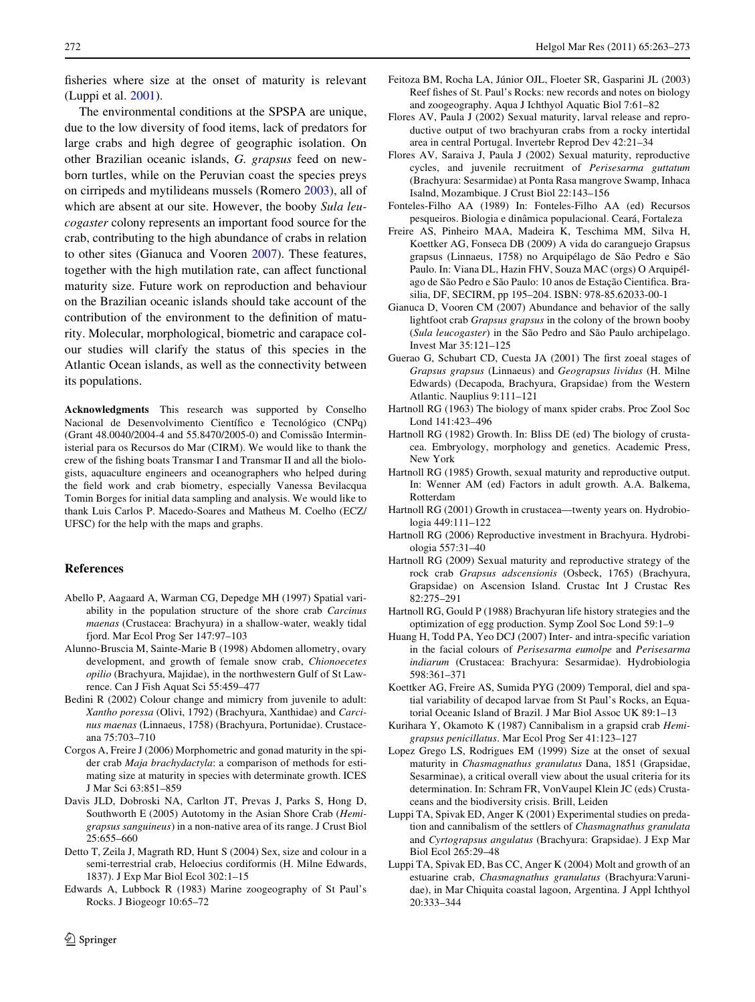fisheries where size at the onset of maturity is relevant (Luppi et al. [2001\)](#page-9-26).

The environmental conditions at the SPSPA are unique, due to the low diversity of food items, lack of predators for large crabs and high degree of geographic isolation. On other Brazilian oceanic islands, *G. grapsus* feed on newborn turtles, while on the Peruvian coast the species preys on cirripeds and mytilideans mussels (Romero [2003\)](#page-10-3), all of which are absent at our site. However, the booby *Sula leucogaster* colony represents an important food source for the crab, contributing to the high abundance of crabs in relation to other sites (Gianuca and Vooren [2007\)](#page-9-4). These features, together with the high mutilation rate, can affect functional maturity size. Future work on reproduction and behaviour on the Brazilian oceanic islands should take account of the contribution of the environment to the definition of maturity. Molecular, morphological, biometric and carapace colour studies will clarify the status of this species in the Atlantic Ocean islands, as well as the connectivity between its populations.

**Acknowledgments** This research was supported by Conselho Nacional de Desenvolvimento Científico e Tecnológico (CNPq) (Grant 48.0040/2004-4 and 55.8470/2005-0) and Comissão Interministerial para os Recursos do Mar (CIRM). We would like to thank the crew of the fishing boats Transmar I and Transmar II and all the biologists, aquaculture engineers and oceanographers who helped during the field work and crab biometry, especially Vanessa Bevilacqua Tomin Borges for initial data sampling and analysis. We would like to thank Luis Carlos P. Macedo-Soares and Matheus M. Coelho (ECZ/ UFSC) for the help with the maps and graphs.

# **References**

- <span id="page-9-20"></span>Abello P, Aagaard A, Warman CG, Depedge MH (1997) Spatial variability in the population structure of the shore crab *Carcinus maenas* (Crustacea: Brachyura) in a shallow-water, weakly tidal fjord. Mar Ecol Prog Ser 147:97–103
- <span id="page-9-18"></span>Alunno-Bruscia M, Sainte-Marie B (1998) Abdomen allometry, ovary development, and growth of female snow crab, *Chionoecetes opilio* (Brachyura, Majidae), in the northwestern Gulf of St Lawrence. Can J Fish Aquat Sci 55:459–477
- <span id="page-9-23"></span>Bedini R (2002) Colour change and mimicry from juvenile to adult: *Xantho poressa* (Olivi, 1792) (Brachyura, Xanthidae) and *Carcinus maenas* (Linnaeus, 1758) (Brachyura, Portunidae). Crustaceana 75:703–710
- <span id="page-9-9"></span>Corgos A, Freire J (2006) Morphometric and gonad maturity in the spider crab *Maja brachydactyla*: a comparison of methods for estimating size at maturity in species with determinate growth. ICES J Mar Sci 63:851–859
- <span id="page-9-25"></span>Davis JLD, Dobroski NA, Carlton JT, Prevas J, Parks S, Hong D, Southworth E (2005) Autotomy in the Asian Shore Crab (*Hemigrapsus sanguineus*) in a non-native area of its range. J Crust Biol 25:655–660
- <span id="page-9-22"></span>Detto T, Zeila J, Magrath RD, Hunt S (2004) Sex, size and colour in a semi-terrestrial crab, Heloecius cordiformis (H. Milne Edwards, 1837). J Exp Mar Biol Ecol 302:1–15
- <span id="page-9-15"></span>Edwards A, Lubbock R (1983) Marine zoogeography of St Paul's Rocks. J Biogeogr 10:65–72
- <span id="page-9-14"></span>Feitoza BM, Rocha LA, Júnior OJL, Floeter SR, Gasparini JL (2003) Reef fishes of St. Paul's Rocks: new records and notes on biology and zoogeography. Aqua J Ichthyol Aquatic Biol 7:61–82
- <span id="page-9-11"></span>Flores AV, Paula J (2002) Sexual maturity, larval release and reproductive output of two brachyuran crabs from a rocky intertidal area in central Portugal. Invertebr Reprod Dev 42:21–34
- <span id="page-9-10"></span>Flores AV, Saraiva J, Paula J (2002) Sexual maturity, reproductive cycles, and juvenile recruitment of *Perisesarma guttatum* (Brachyura: Sesarmidae) at Ponta Rasa mangrove Swamp, Inhaca Isalnd, Mozambique. J Crust Biol 22:143–156
- <span id="page-9-16"></span>Fonteles-Filho AA (1989) In: Fonteles-Filho AA (ed) Recursos pesqueiros. Biologia e dinâmica populacional. Ceará, Fortaleza
- <span id="page-9-2"></span>Freire AS, Pinheiro MAA, Madeira K, Teschima MM, Silva H, Koettker AG, Fonseca DB (2009) A vida do caranguejo Grapsus grapsus (Linnaeus, 1758) no Arquipélago de São Pedro e São Paulo. In: Viana DL, Hazin FHV, Souza MAC (orgs) O Arquipélago de São Pedro e São Paulo: 10 anos de Estação Cientifica. Brasilia, DF, SECIRM, pp 195–204. ISBN: 978-85.62033-00-1
- <span id="page-9-4"></span>Gianuca D, Vooren CM (2007) Abundance and behavior of the sally lightfoot crab *Grapsus grapsus* in the colony of the brown booby (*Sula leucogaster*) in the São Pedro and São Paulo archipelago. Invest Mar 35:121–125
- <span id="page-9-1"></span>Guerao G, Schubart CD, Cuesta JA (2001) The first zoeal stages of *Grapsus grapsus* (Linnaeus) and *Geograpsus lividus* (H. Milne Edwards) (Decapoda, Brachyura, Grapsidae) from the Western Atlantic. Nauplius 9:111–121
- <span id="page-9-7"></span>Hartnoll RG (1963) The biology of manx spider crabs. Proc Zool Soc Lond 141:423–496
- <span id="page-9-19"></span>Hartnoll RG (1982) Growth. In: Bliss DE (ed) The biology of crustacea. Embryology, morphology and genetics. Academic Press, New York
- <span id="page-9-6"></span>Hartnoll RG (1985) Growth, sexual maturity and reproductive output. In: Wenner AM (ed) Factors in adult growth. A.A. Balkema, Rotterdam
- <span id="page-9-8"></span>Hartnoll RG (2001) Growth in crustacea—twenty years on. Hydrobiologia 449:111–122
- <span id="page-9-13"></span>Hartnoll RG (2006) Reproductive investment in Brachyura. Hydrobiologia 557:31–40
- <span id="page-9-0"></span>Hartnoll RG (2009) Sexual maturity and reproductive strategy of the rock crab *Grapsus adscensionis* (Osbeck, 1765) (Brachyura, Grapsidae) on Ascension Island. Crustac Int J Crustac Res 82:275–291
- <span id="page-9-5"></span>Hartnoll RG, Gould P (1988) Brachyuran life history strategies and the optimization of egg production. Symp Zool Soc Lond 59:1–9
- <span id="page-9-21"></span>Huang H, Todd PA, Yeo DCJ (2007) Inter- and intra-specific variation in the facial colours of *Perisesarma eumolpe* and *Perisesarma indiarum* (Crustacea: Brachyura: Sesarmidae). Hydrobiologia 598:361–371
- <span id="page-9-3"></span>Koettker AG, Freire AS, Sumida PYG (2009) Temporal, diel and spatial variability of decapod larvae from St Paul's Rocks, an Equatorial Oceanic Island of Brazil. J Mar Biol Assoc UK 89:1–13
- <span id="page-9-24"></span>Kurihara Y, Okamoto K (1987) Cannibalism in a grapsid crab *Hemigrapsus penicillatus*. Mar Ecol Prog Ser 41:123–127
- <span id="page-9-17"></span>Lopez Grego LS, Rodrigues EM (1999) Size at the onset of sexual maturity in *Chasmagnathus granulatus* Dana, 1851 (Grapsidae, Sesarminae), a critical overall view about the usual criteria for its determination. In: Schram FR, VonVaupel Klein JC (eds) Crustaceans and the biodiversity crisis. Brill, Leiden
- <span id="page-9-26"></span>Luppi TA, Spivak ED, Anger K (2001) Experimental studies on predation and cannibalism of the settlers of *Chasmagnathus granulata* and *Cyrtograpsus angulatus* (Brachyura: Grapsidae). J Exp Mar Biol Ecol 265:29–48
- <span id="page-9-12"></span>Luppi TA, Spivak ED, Bas CC, Anger K (2004) Molt and growth of an estuarine crab, *Chasmagnathus granulatus* (Brachyura:Varunidae), in Mar Chiquita coastal lagoon, Argentina. J Appl Ichthyol 20:333–344